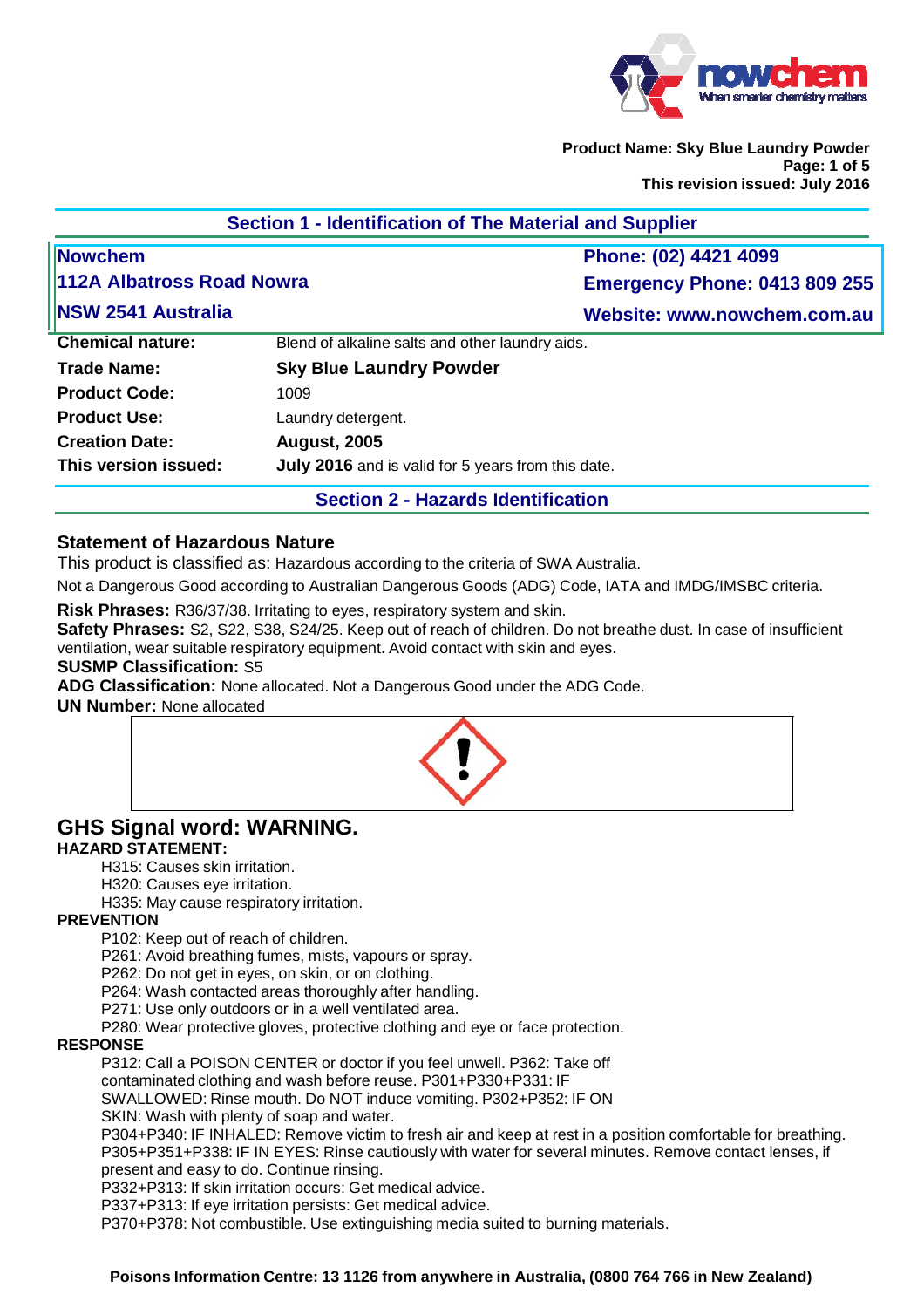

**Product Name: Sky Blue Laundry Powder Page: 1 of 5 This revision issued: July 2016** 

| <b>112A Albatross Road Nowra</b>                   | Phone: (02) 4421 4099<br><b>Emergency Phone: 0413 809 255</b> |
|----------------------------------------------------|---------------------------------------------------------------|
|                                                    |                                                               |
|                                                    |                                                               |
|                                                    | Website: www.nowchem.com.au                                   |
| Blend of alkaline salts and other laundry aids.    |                                                               |
| <b>Sky Blue Laundry Powder</b>                     |                                                               |
| 1009                                               |                                                               |
| Laundry detergent.                                 |                                                               |
| <b>August, 2005</b>                                |                                                               |
| July 2016 and is valid for 5 years from this date. |                                                               |
|                                                    |                                                               |

# **Section 2 - Hazards Identification**

# **Statement of Hazardous Nature**

This product is classified as: Hazardous according to the criteria of SWA Australia.

Not a Dangerous Good according to Australian Dangerous Goods (ADG) Code, IATA and IMDG/IMSBC criteria.

**Risk Phrases:** R36/37/38. Irritating to eyes, respiratory system and skin.

**Safety Phrases:** S2, S22, S38, S24/25. Keep out of reach of children. Do not breathe dust. In case of insufficient ventilation, wear suitable respiratory equipment. Avoid contact with skin and eyes.

#### **SUSMP Classification:** S5

**ADG Classification:** None allocated. Not a Dangerous Good under the ADG Code.

**UN Number:** None allocated



# **GHS Signal word: WARNING.**

# **HAZARD STATEMENT:**

H315: Causes skin irritation.

H320: Causes eye irritation.

H335: May cause respiratory irritation.

### **PREVENTION**

P102: Keep out of reach of children.

P261: Avoid breathing fumes, mists, vapours or spray.

P262: Do not get in eyes, on skin, or on clothing.

P264: Wash contacted areas thoroughly after handling.

P271: Use only outdoors or in a well ventilated area.

P280: Wear protective gloves, protective clothing and eye or face protection.

### **RESPONSE**

P312: Call a POISON CENTER or doctor if you feel unwell. P362: Take off

contaminated clothing and wash before reuse. P301+P330+P331: IF

SWALLOWED: Rinse mouth. Do NOT induce vomiting. P302+P352: IF ON

SKIN: Wash with plenty of soap and water.

P304+P340: IF INHALED: Remove victim to fresh air and keep at rest in a position comfortable for breathing. P305+P351+P338: IF IN EYES: Rinse cautiously with water for several minutes. Remove contact lenses, if present and easy to do. Continue rinsing.

P332+P313: If skin irritation occurs: Get medical advice.

P337+P313: If eye irritation persists: Get medical advice.

P370+P378: Not combustible. Use extinguishing media suited to burning materials.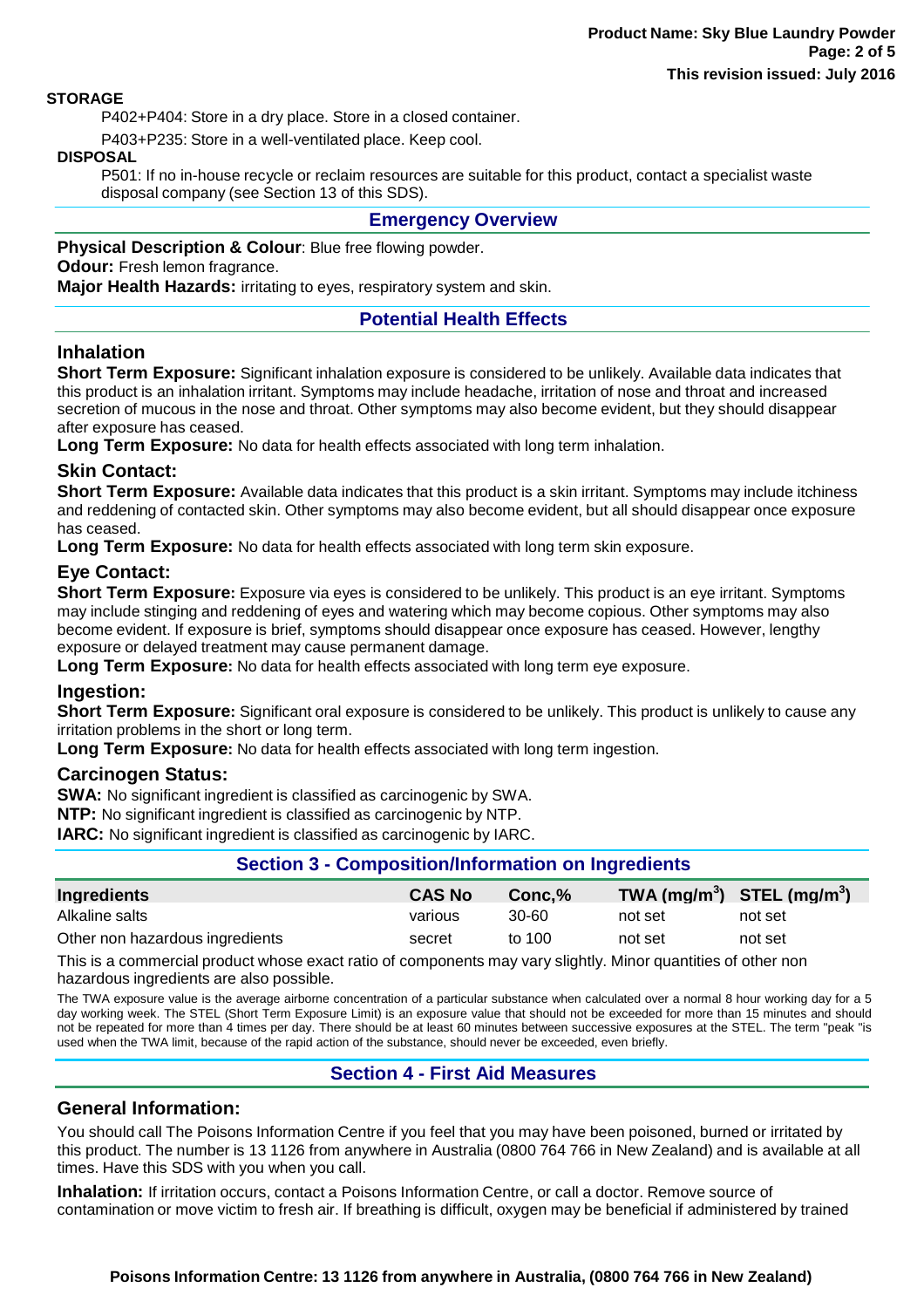#### **STORAGE**

P402+P404: Store in a dry place. Store in a closed container.

P403+P235: Store in a well-ventilated place. Keep cool.

#### **DISPOSAL**

P501: If no in-house recycle or reclaim resources are suitable for this product, contact a specialist waste disposal company (see Section 13 of this SDS).

### **Emergency Overview**

**Physical Description & Colour**: Blue free flowing powder.

# **Odour:** Fresh lemon fragrance.

**Major Health Hazards:** irritating to eyes, respiratory system and skin.

# **Potential Health Effects**

### **Inhalation**

**Short Term Exposure:** Significant inhalation exposure is considered to be unlikely. Available data indicates that this product is an inhalation irritant. Symptoms may include headache, irritation of nose and throat and increased secretion of mucous in the nose and throat. Other symptoms may also become evident, but they should disappear after exposure has ceased.

**Long Term Exposure:** No data for health effects associated with long term inhalation.

### **Skin Contact:**

**Short Term Exposure:** Available data indicates that this product is a skin irritant. Symptoms may include itchiness and reddening of contacted skin. Other symptoms may also become evident, but all should disappear once exposure has ceased.

**Long Term Exposure:** No data for health effects associated with long term skin exposure.

# **Eye Contact:**

**Short Term Exposure:** Exposure via eyes is considered to be unlikely. This product is an eye irritant. Symptoms may include stinging and reddening of eyes and watering which may become copious. Other symptoms may also become evident. If exposure is brief, symptoms should disappear once exposure has ceased. However, lengthy exposure or delayed treatment may cause permanent damage.

**Long Term Exposure:** No data for health effects associated with long term eye exposure.

### **Ingestion:**

**Short Term Exposure:** Significant oral exposure is considered to be unlikely. This product is unlikely to cause any irritation problems in the short or long term.

**Long Term Exposure:** No data for health effects associated with long term ingestion.

### **Carcinogen Status:**

**SWA:** No significant ingredient is classified as carcinogenic by SWA.

**NTP:** No significant ingredient is classified as carcinogenic by NTP.

**IARC:** No significant ingredient is classified as carcinogenic by IARC.

### **Section 3 - Composition/Information on Ingredients**

| <b>Ingredients</b>              | <b>CAS No</b> | $Conc.\%$ |         | TWA (mg/m <sup>3</sup> ) STEL (mg/m <sup>3</sup> ) |
|---------------------------------|---------------|-----------|---------|----------------------------------------------------|
| Alkaline salts                  | various       | 30-60     | not set | not set                                            |
| Other non hazardous ingredients | secret        | to 100    | not set | not set                                            |

This is a commercial product whose exact ratio of components may vary slightly. Minor quantities of other non hazardous ingredients are also possible.

The TWA exposure value is the average airborne concentration of a particular substance when calculated over a normal 8 hour working day for a 5 day working week. The STEL (Short Term Exposure Limit) is an exposure value that should not be exceeded for more than 15 minutes and should not be repeated for more than 4 times per day. There should be at least 60 minutes between successive exposures at the STEL. The term "peak "is used when the TWA limit, because of the rapid action of the substance, should never be exceeded, even briefly.

# **Section 4 - First Aid Measures**

### **General Information:**

You should call The Poisons Information Centre if you feel that you may have been poisoned, burned or irritated by this product. The number is 13 1126 from anywhere in Australia (0800 764 766 in New Zealand) and is available at all times. Have this SDS with you when you call.

**Inhalation:** If irritation occurs, contact a Poisons Information Centre, or call a doctor. Remove source of contamination or move victim to fresh air. If breathing is difficult, oxygen may be beneficial if administered by trained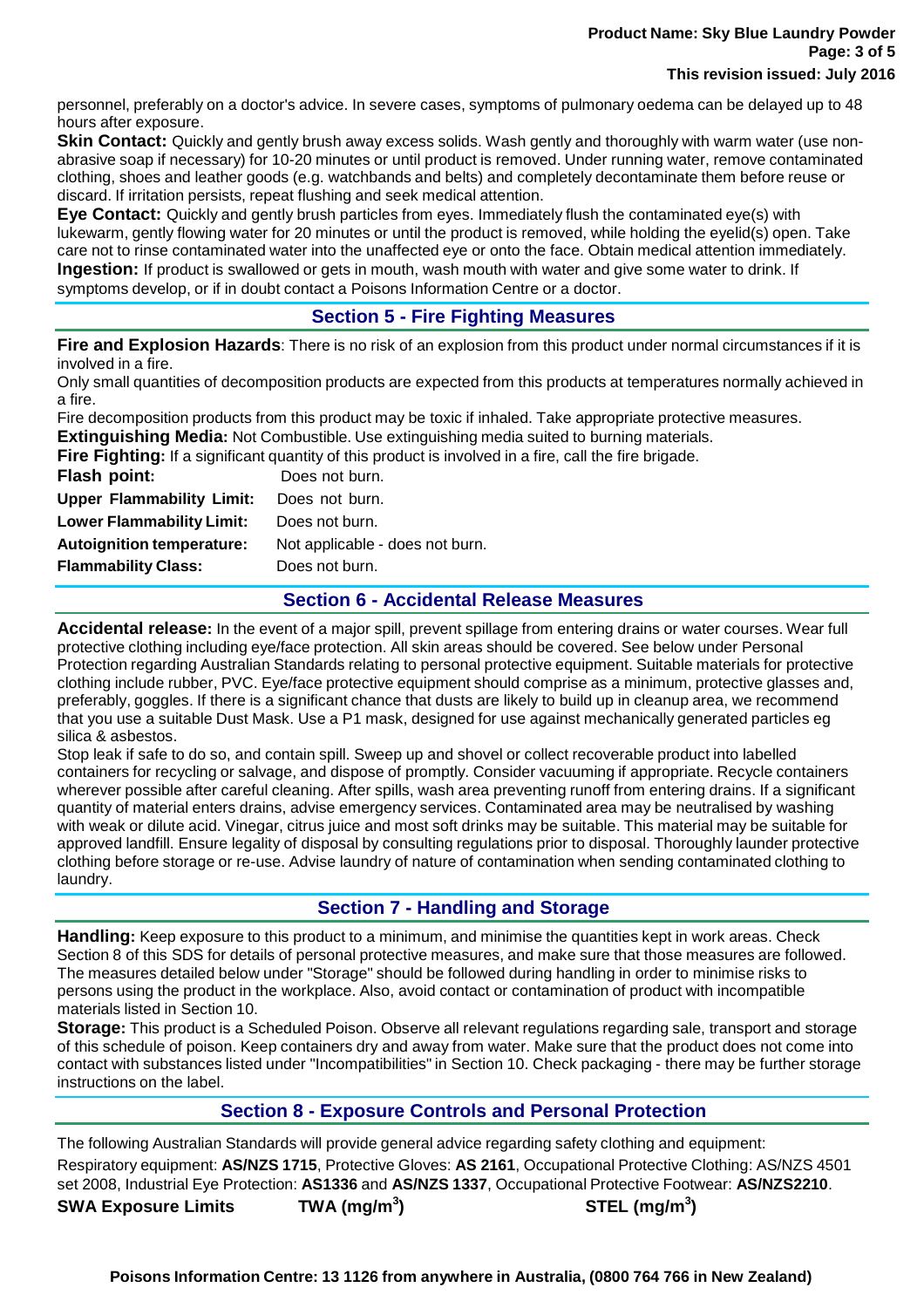#### **Product Name: Sky Blue Laundry Powder Page: 3 of 5 This revision issued: July 2016**

personnel, preferably on a doctor's advice. In severe cases, symptoms of pulmonary oedema can be delayed up to 48 hours after exposure.

**Skin Contact:** Quickly and gently brush away excess solids. Wash gently and thoroughly with warm water (use nonabrasive soap if necessary) for 10-20 minutes or until product is removed. Under running water, remove contaminated clothing, shoes and leather goods (e.g. watchbands and belts) and completely decontaminate them before reuse or discard. If irritation persists, repeat flushing and seek medical attention.

**Eye Contact:** Quickly and gently brush particles from eyes. Immediately flush the contaminated eye(s) with lukewarm, gently flowing water for 20 minutes or until the product is removed, while holding the eyelid(s) open. Take care not to rinse contaminated water into the unaffected eye or onto the face. Obtain medical attention immediately. **Ingestion:** If product is swallowed or gets in mouth, wash mouth with water and give some water to drink. If symptoms develop, or if in doubt contact a Poisons Information Centre or a doctor.

# **Section 5 - Fire Fighting Measures**

**Fire and Explosion Hazards**: There is no risk of an explosion from this product under normal circumstances if it is involved in a fire.

Only small quantities of decomposition products are expected from this products at temperatures normally achieved in a fire.

Fire decomposition products from this product may be toxic if inhaled. Take appropriate protective measures.

**Extinguishing Media:** Not Combustible. Use extinguishing media suited to burning materials. *<u><b>I* din a fire, call the fire brigade.</u>

|                                  | <b>Fire Fighting:</b> If a significant quantity of this product is involved |
|----------------------------------|-----------------------------------------------------------------------------|
| Flash point:                     | Does not burn.                                                              |
| <b>Upper Flammability Limit:</b> | Does not burn.                                                              |
| <b>Lower Flammability Limit:</b> | Does not burn.                                                              |
| <b>Autoignition temperature:</b> | Not applicable - does not burn.                                             |
| <b>Flammability Class:</b>       | Does not burn.                                                              |

# **Section 6 - Accidental Release Measures**

**Accidental release:** In the event of a major spill, prevent spillage from entering drains or water courses. Wear full protective clothing including eye/face protection. All skin areas should be covered. See below under Personal Protection regarding Australian Standards relating to personal protective equipment. Suitable materials for protective clothing include rubber, PVC. Eye/face protective equipment should comprise as a minimum, protective glasses and, preferably, goggles. If there is a significant chance that dusts are likely to build up in cleanup area, we recommend that you use a suitable Dust Mask. Use a P1 mask, designed for use against mechanically generated particles eg silica & asbestos.

Stop leak if safe to do so, and contain spill. Sweep up and shovel or collect recoverable product into labelled containers for recycling or salvage, and dispose of promptly. Consider vacuuming if appropriate. Recycle containers wherever possible after careful cleaning. After spills, wash area preventing runoff from entering drains. If a significant quantity of material enters drains, advise emergency services. Contaminated area may be neutralised by washing with weak or dilute acid. Vinegar, citrus juice and most soft drinks may be suitable. This material may be suitable for approved landfill. Ensure legality of disposal by consulting regulations prior to disposal. Thoroughly launder protective clothing before storage or re-use. Advise laundry of nature of contamination when sending contaminated clothing to laundry.

# **Section 7 - Handling and Storage**

**Handling:** Keep exposure to this product to a minimum, and minimise the quantities kept in work areas. Check Section 8 of this SDS for details of personal protective measures, and make sure that those measures are followed. The measures detailed below under "Storage" should be followed during handling in order to minimise risks to persons using the product in the workplace. Also, avoid contact or contamination of product with incompatible materials listed in Section 10.

**Storage:** This product is a Scheduled Poison. Observe all relevant regulations regarding sale, transport and storage of this schedule of poison. Keep containers dry and away from water. Make sure that the product does not come into contact with substances listed under "Incompatibilities" in Section 10. Check packaging - there may be further storage instructions on the label.

# **Section 8 - Exposure Controls and Personal Protection**

The following Australian Standards will provide general advice regarding safety clothing and equipment: Respiratory equipment: **AS/NZS 1715**, Protective Gloves: **AS 2161**, Occupational Protective Clothing: AS/NZS 4501 set 2008, Industrial Eye Protection: **AS1336** and **AS/NZS 1337**, Occupational Protective Footwear: **AS/NZS2210**. **SWA Exposure Limits TWA (mg/m<sup>3</sup> ) STEL (mg/m<sup>3</sup> )**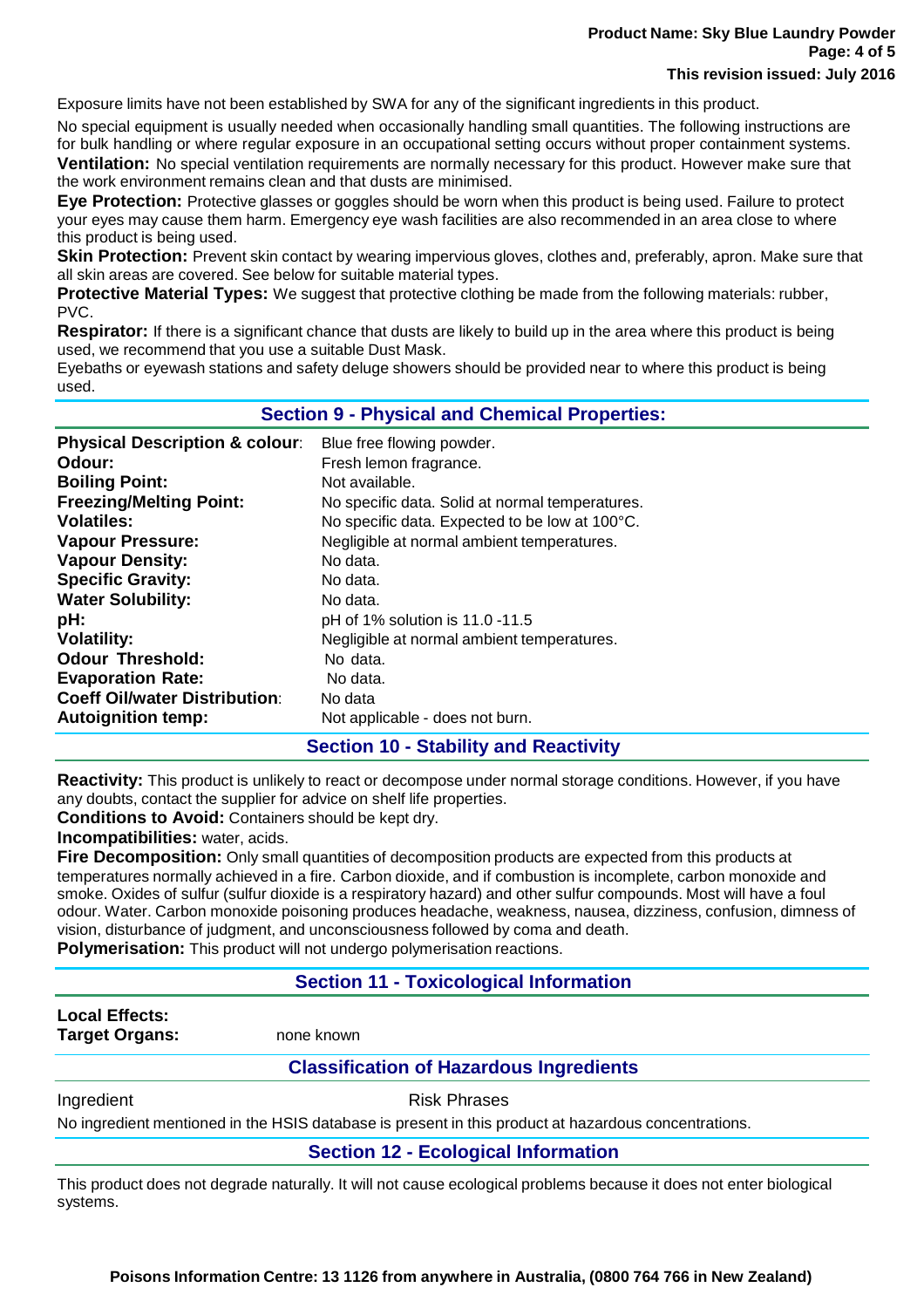Exposure limits have not been established by SWA for any of the significant ingredients in this product.

No special equipment is usually needed when occasionally handling small quantities. The following instructions are for bulk handling or where regular exposure in an occupational setting occurs without proper containment systems. **Ventilation:** No special ventilation requirements are normally necessary for this product. However make sure that the work environment remains clean and that dusts are minimised.

**Eye Protection:** Protective glasses or goggles should be worn when this product is being used. Failure to protect your eyes may cause them harm. Emergency eye wash facilities are also recommended in an area close to where this product is being used.

**Skin Protection:** Prevent skin contact by wearing impervious gloves, clothes and, preferably, apron. Make sure that all skin areas are covered. See below for suitable material types.

**Protective Material Types:** We suggest that protective clothing be made from the following materials: rubber, PVC.

**Respirator:** If there is a significant chance that dusts are likely to build up in the area where this product is being used, we recommend that you use a suitable Dust Mask.

Eyebaths or eyewash stations and safety deluge showers should be provided near to where this product is being used.

| <b>Section 9 - Physical and Chemical Properties:</b> |                                                 |  |
|------------------------------------------------------|-------------------------------------------------|--|
| <b>Physical Description &amp; colour:</b>            | Blue free flowing powder.                       |  |
| Odour:                                               | Fresh lemon fragrance.                          |  |
| <b>Boiling Point:</b>                                | Not available.                                  |  |
| <b>Freezing/Melting Point:</b>                       | No specific data. Solid at normal temperatures. |  |
| <b>Volatiles:</b>                                    | No specific data. Expected to be low at 100°C.  |  |
| <b>Vapour Pressure:</b>                              | Negligible at normal ambient temperatures.      |  |
| <b>Vapour Density:</b>                               | No data.                                        |  |
| <b>Specific Gravity:</b>                             | No data.                                        |  |
| <b>Water Solubility:</b>                             | No data.                                        |  |
| pH:                                                  | pH of 1% solution is 11.0 -11.5                 |  |
| <b>Volatility:</b>                                   | Negligible at normal ambient temperatures.      |  |
| <b>Odour Threshold:</b>                              | No data.                                        |  |
| <b>Evaporation Rate:</b>                             | No data.                                        |  |
| <b>Coeff Oil/water Distribution:</b>                 | No data                                         |  |
| <b>Autoignition temp:</b>                            | Not applicable - does not burn.                 |  |

# **Section 10 - Stability and Reactivity**

**Reactivity:** This product is unlikely to react or decompose under normal storage conditions. However, if you have any doubts, contact the supplier for advice on shelf life properties.

**Conditions to Avoid:** Containers should be kept dry.

**Incompatibilities:** water, acids.

**Fire Decomposition:** Only small quantities of decomposition products are expected from this products at temperatures normally achieved in a fire. Carbon dioxide, and if combustion is incomplete, carbon monoxide and smoke. Oxides of sulfur (sulfur dioxide is a respiratory hazard) and other sulfur compounds. Most will have a foul odour. Water. Carbon monoxide poisoning produces headache, weakness, nausea, dizziness, confusion, dimness of vision, disturbance of judgment, and unconsciousness followed by coma and death.

**Polymerisation:** This product will not undergo polymerisation reactions.

# **Section 11 - Toxicological Information**

| <b>Local Effects:</b><br><b>Target Organs:</b> | none known                                     |  |
|------------------------------------------------|------------------------------------------------|--|
|                                                | <b>Classification of Hazardous Ingredients</b> |  |
| Ingredient                                     | <b>Risk Phrases</b>                            |  |

No ingredient mentioned in the HSIS database is present in this product at hazardous concentrations.

**Section 12 - Ecological Information**

This product does not degrade naturally. It will not cause ecological problems because it does not enter biological systems.